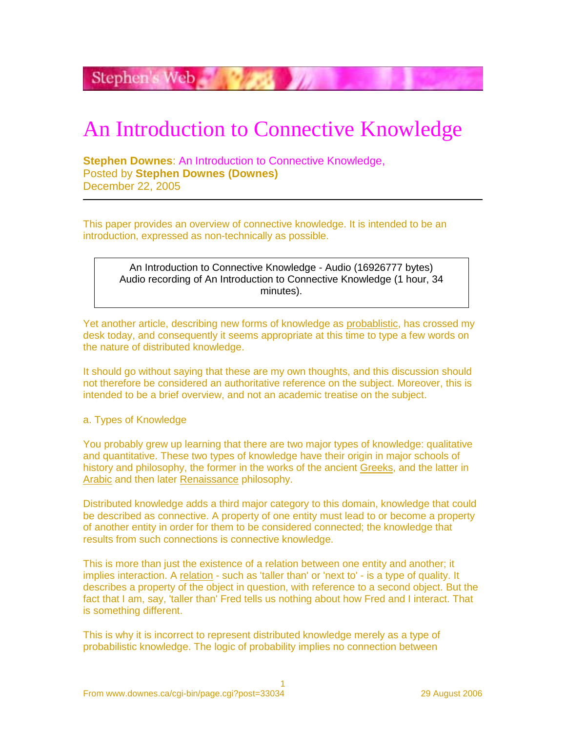# An Introduction to Connective Knowledge

**Stephen Downes**: An Introduction to Connective Knowledge, Posted by **Stephen Downes (Downes)** December 22, 2005

Stephen's Web

This paper provides an overview of connective knowledge. It is intended to be an introduction, expressed as non-technically as possible.

An Introduction to Connective Knowledge - Audio (16926777 bytes) Audio recording of An Introduction to Connective Knowledge (1 hour, 34 minutes).

Yet another article, describing new forms of knowledge as probablistic, has crossed my desk today, and consequently it seems appropriate at this time to type a few words on the nature of distributed knowledge.

It should go without saying that these are my own thoughts, and this discussion should not therefore be considered an authoritative reference on the subject. Moreover, this is intended to be a brief overview, and not an academic treatise on the subject.

a. Types of Knowledge

You probably grew up learning that there are two major types of knowledge: qualitative and quantitative. These two types of knowledge have their origin in major schools of history and philosophy, the former in the works of the ancient Greeks, and the latter in Arabic and then later Renaissance philosophy.

Distributed knowledge adds a third major category to this domain, knowledge that could be described as connective. A property of one entity must lead to or become a property of another entity in order for them to be considered connected; the knowledge that results from such connections is connective knowledge.

This is more than just the existence of a relation between one entity and another; it implies interaction. A relation - such as 'taller than' or 'next to' - is a type of quality. It describes a property of the object in question, with reference to a second object. But the fact that I am, say, 'taller than' Fred tells us nothing about how Fred and I interact. That is something different.

This is why it is incorrect to represent distributed knowledge merely as a type of probabilistic knowledge. The logic of probability implies no connection between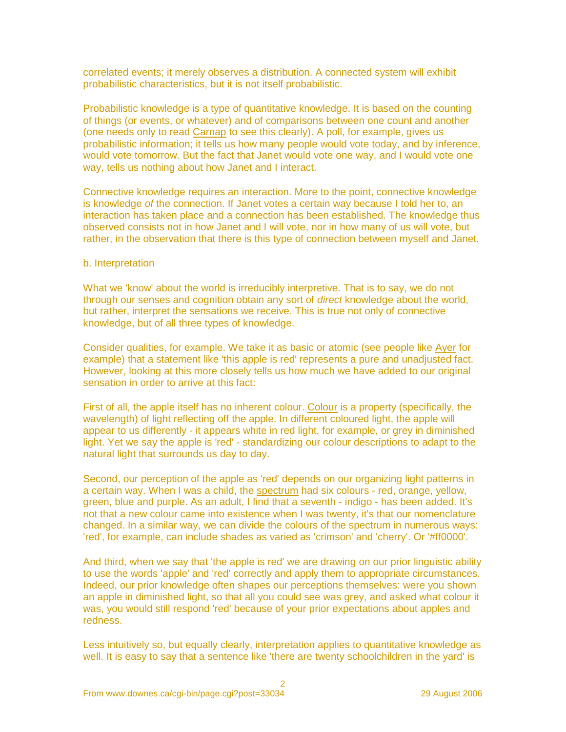correlated events; it merely observes a distribution. A connected system will exhibit probabilistic characteristics, but it is not itself probabilistic.

Probabilistic knowledge is a type of quantitative knowledge. It is based on the counting of things (or events, or whatever) and of comparisons between one count and another (one needs only to read Carnap to see this clearly). A poll, for example, gives us probabilistic information; it tells us how many people would vote today, and by inference, would vote tomorrow. But the fact that Janet would vote one way, and I would vote one way, tells us nothing about how Janet and I interact.

Connective knowledge requires an interaction. More to the point, connective knowledge is knowledge *of* the connection. If Janet votes a certain way because I told her to, an interaction has taken place and a connection has been established. The knowledge thus observed consists not in how Janet and I will vote, nor in how many of us will vote, but rather, in the observation that there is this type of connection between myself and Janet.

# b. Interpretation

What we 'know' about the world is irreducibly interpretive. That is to say, we do not through our senses and cognition obtain any sort of *direct* knowledge about the world, but rather, interpret the sensations we receive. This is true not only of connective knowledge, but of all three types of knowledge.

Consider qualities, for example. We take it as basic or atomic (see people like Ayer for example) that a statement like 'this apple is red' represents a pure and unadjusted fact. However, looking at this more closely tells us how much we have added to our original sensation in order to arrive at this fact:

First of all, the apple itself has no inherent colour. Colour is a property (specifically, the wavelength) of light reflecting off the apple. In different coloured light, the apple will appear to us differently - it appears white in red light, for example, or grey in diminished light. Yet we say the apple is 'red' - standardizing our colour descriptions to adapt to the natural light that surrounds us day to day.

Second, our perception of the apple as 'red' depends on our organizing light patterns in a certain way. When I was a child, the spectrum had six colours - red, orange, yellow, green, blue and purple. As an adult, I find that a seventh - indigo - has been added. It's not that a new colour came into existence when I was twenty, it's that our nomenclature changed. In a similar way, we can divide the colours of the spectrum in numerous ways: 'red', for example, can include shades as varied as 'crimson' and 'cherry'. Or '#ff0000'.

And third, when we say that 'the apple is red' we are drawing on our prior linguistic ability to use the words 'apple' and 'red' correctly and apply them to appropriate circumstances. Indeed, our prior knowledge often shapes our perceptions themselves: were you shown an apple in diminished light, so that all you could see was grey, and asked what colour it was, you would still respond 'red' because of your prior expectations about apples and redness.

Less intuitively so, but equally clearly, interpretation applies to quantitative knowledge as well. It is easy to say that a sentence like 'there are twenty schoolchildren in the yard' is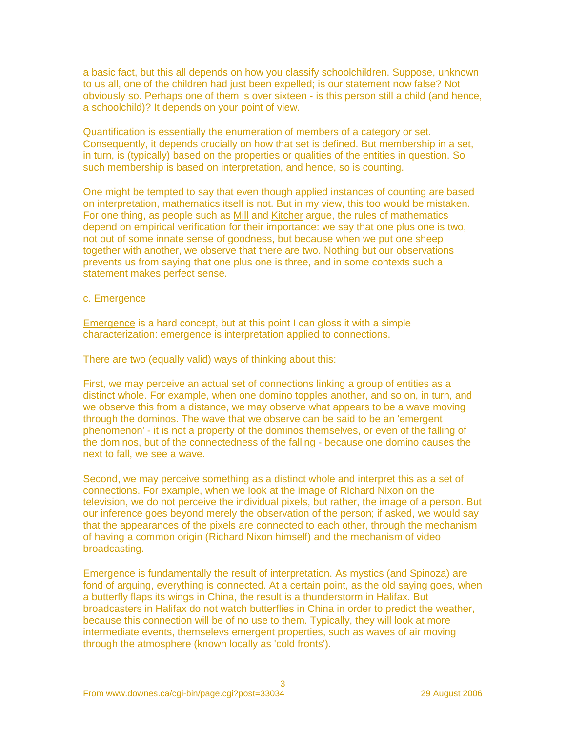a basic fact, but this all depends on how you classify schoolchildren. Suppose, unknown to us all, one of the children had just been expelled; is our statement now false? Not obviously so. Perhaps one of them is over sixteen - is this person still a child (and hence, a schoolchild)? It depends on your point of view.

Quantification is essentially the enumeration of members of a category or set. Consequently, it depends crucially on how that set is defined. But membership in a set, in turn, is (typically) based on the properties or qualities of the entities in question. So such membership is based on interpretation, and hence, so is counting.

One might be tempted to say that even though applied instances of counting are based on interpretation, mathematics itself is not. But in my view, this too would be mistaken. For one thing, as people such as Mill and Kitcher argue, the rules of mathematics depend on empirical verification for their importance: we say that one plus one is two, not out of some innate sense of goodness, but because when we put one sheep together with another, we observe that there are two. Nothing but our observations prevents us from saying that one plus one is three, and in some contexts such a statement makes perfect sense.

#### c. Emergence

Emergence is a hard concept, but at this point I can gloss it with a simple characterization: emergence is interpretation applied to connections.

There are two (equally valid) ways of thinking about this:

First, we may perceive an actual set of connections linking a group of entities as a distinct whole. For example, when one domino topples another, and so on, in turn, and we observe this from a distance, we may observe what appears to be a wave moving through the dominos. The wave that we observe can be said to be an 'emergent phenomenon' - it is not a property of the dominos themselves, or even of the falling of the dominos, but of the connectedness of the falling - because one domino causes the next to fall, we see a wave.

Second, we may perceive something as a distinct whole and interpret this as a set of connections. For example, when we look at the image of Richard Nixon on the television, we do not perceive the individual pixels, but rather, the image of a person. But our inference goes beyond merely the observation of the person; if asked, we would say that the appearances of the pixels are connected to each other, through the mechanism of having a common origin (Richard Nixon himself) and the mechanism of video broadcasting.

Emergence is fundamentally the result of interpretation. As mystics (and Spinoza) are fond of arguing, everything is connected. At a certain point, as the old saying goes, when a butterfly flaps its wings in China, the result is a thunderstorm in Halifax. But broadcasters in Halifax do not watch butterflies in China in order to predict the weather, because this connection will be of no use to them. Typically, they will look at more intermediate events, themselevs emergent properties, such as waves of air moving through the atmosphere (known locally as 'cold fronts').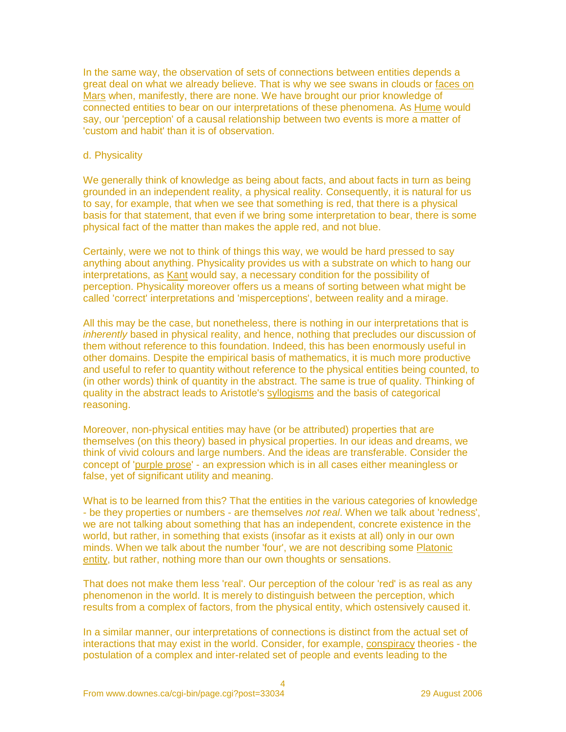In the same way, the observation of sets of connections between entities depends a great deal on what we already believe. That is why we see swans in clouds or faces on Mars when, manifestly, there are none. We have brought our prior knowledge of connected entities to bear on our interpretations of these phenomena. As Hume would say, our 'perception' of a causal relationship between two events is more a matter of 'custom and habit' than it is of observation.

# d. Physicality

We generally think of knowledge as being about facts, and about facts in turn as being grounded in an independent reality, a physical reality. Consequently, it is natural for us to say, for example, that when we see that something is red, that there is a physical basis for that statement, that even if we bring some interpretation to bear, there is some physical fact of the matter than makes the apple red, and not blue.

Certainly, were we not to think of things this way, we would be hard pressed to say anything about anything. Physicality provides us with a substrate on which to hang our interpretations, as Kant would say, a necessary condition for the possibility of perception. Physicality moreover offers us a means of sorting between what might be called 'correct' interpretations and 'misperceptions', between reality and a mirage.

All this may be the case, but nonetheless, there is nothing in our interpretations that is *inherently* based in physical reality, and hence, nothing that precludes our discussion of them without reference to this foundation. Indeed, this has been enormously useful in other domains. Despite the empirical basis of mathematics, it is much more productive and useful to refer to quantity without reference to the physical entities being counted, to (in other words) think of quantity in the abstract. The same is true of quality. Thinking of quality in the abstract leads to Aristotle's syllogisms and the basis of categorical reasoning.

Moreover, non-physical entities may have (or be attributed) properties that are themselves (on this theory) based in physical properties. In our ideas and dreams, we think of vivid colours and large numbers. And the ideas are transferable. Consider the concept of 'purple prose' - an expression which is in all cases either meaningless or false, yet of significant utility and meaning.

What is to be learned from this? That the entities in the various categories of knowledge - be they properties or numbers - are themselves *not real*. When we talk about 'redness', we are not talking about something that has an independent, concrete existence in the world, but rather, in something that exists (insofar as it exists at all) only in our own minds. When we talk about the number 'four', we are not describing some **Platonic** entity, but rather, nothing more than our own thoughts or sensations.

That does not make them less 'real'. Our perception of the colour 'red' is as real as any phenomenon in the world. It is merely to distinguish between the perception, which results from a complex of factors, from the physical entity, which ostensively caused it.

In a similar manner, our interpretations of connections is distinct from the actual set of interactions that may exist in the world. Consider, for example, conspiracy theories - the postulation of a complex and inter-related set of people and events leading to the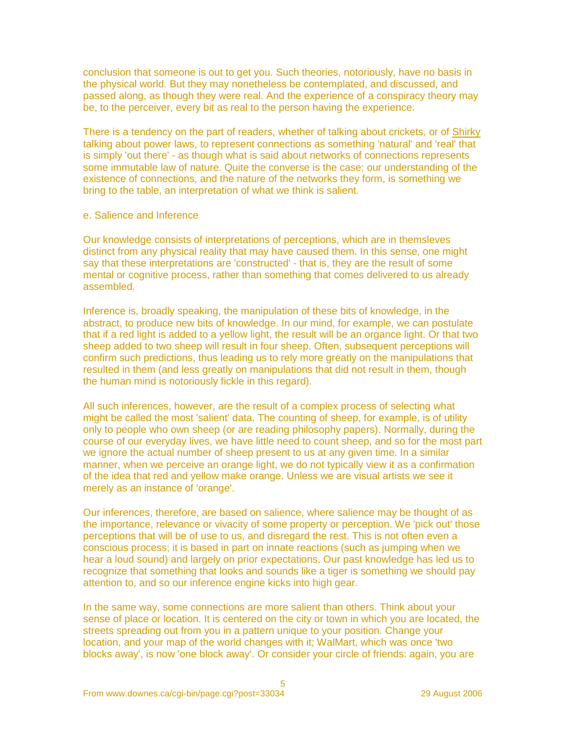conclusion that someone is out to get you. Such theories, notoriously, have no basis in the physical world. But they may nonetheless be contemplated, and discussed, and passed along, as though they were real. And the experience of a conspiracy theory may be, to the perceiver, every bit as real to the person having the experience.

There is a tendency on the part of readers, whether of talking about crickets, or of Shirky talking about power laws, to represent connections as something 'natural' and 'real' that is simply 'out there' - as though what is said about networks of connections represents some immutable law of nature. Quite the converse is the case; our understanding of the existence of connections, and the nature of the networks they form, is something we bring to the table, an interpretation of what we think is salient.

#### e. Salience and Inference

Our knowledge consists of interpretations of perceptions, which are in themsleves distinct from any physical reality that may have caused them. In this sense, one might say that these interpretations are 'constructed' - that is, they are the result of some mental or cognitive process, rather than something that comes delivered to us already assembled.

Inference is, broadly speaking, the manipulation of these bits of knowledge, in the abstract, to produce new bits of knowledge. In our mind, for example, we can postulate that if a red light is added to a yellow light, the result will be an organce light. Or that two sheep added to two sheep will result in four sheep. Often, subsequent perceptions will confirm such predictions, thus leading us to rely more greatly on the manipulations that resulted in them (and less greatly on manipulations that did not result in them, though the human mind is notoriously fickle in this regard).

All such inferences, however, are the result of a complex process of selecting what might be called the most 'salient' data. The counting of sheep, for example, is of utility only to people who own sheep (or are reading philosophy papers). Normally, during the course of our everyday lives, we have little need to count sheep, and so for the most part we ignore the actual number of sheep present to us at any given time. In a similar manner, when we perceive an orange light, we do not typically view it as a confirmation of the idea that red and yellow make orange. Unless we are visual artists we see it merely as an instance of 'orange'.

Our inferences, therefore, are based on salience, where salience may be thought of as the importance, relevance or vivacity of some property or perception. We 'pick out' those perceptions that will be of use to us, and disregard the rest. This is not often even a conscious process; it is based in part on innate reactions (such as jumping when we hear a loud sound) and largely on prior expectations. Our past knowledge has led us to recognize that something that looks and sounds like a tiger is something we should pay attention to, and so our inference engine kicks into high gear.

In the same way, some connections are more salient than others. Think about your sense of place or location. It is centered on the city or town in which you are located, the streets spreading out from you in a pattern unique to your position. Change your location, and your map of the world changes with it; WalMart, which was once 'two blocks away', is now 'one block away'. Or consider your circle of friends: again, you are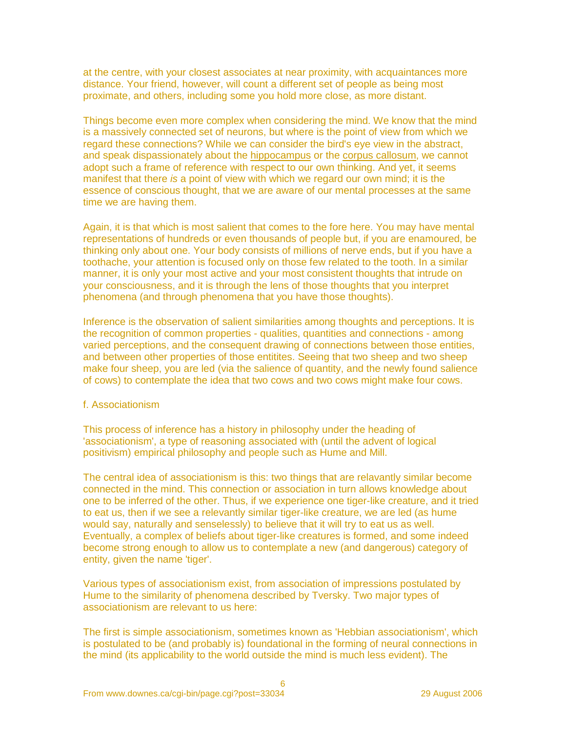at the centre, with your closest associates at near proximity, with acquaintances more distance. Your friend, however, will count a different set of people as being most proximate, and others, including some you hold more close, as more distant.

Things become even more complex when considering the mind. We know that the mind is a massively connected set of neurons, but where is the point of view from which we regard these connections? While we can consider the bird's eye view in the abstract, and speak dispassionately about the hippocampus or the corpus callosum, we cannot adopt such a frame of reference with respect to our own thinking. And yet, it seems manifest that there *is* a point of view with which we regard our own mind; it is the essence of conscious thought, that we are aware of our mental processes at the same time we are having them.

Again, it is that which is most salient that comes to the fore here. You may have mental representations of hundreds or even thousands of people but, if you are enamoured, be thinking only about one. Your body consists of millions of nerve ends, but if you have a toothache, your attention is focused only on those few related to the tooth. In a similar manner, it is only your most active and your most consistent thoughts that intrude on your consciousness, and it is through the lens of those thoughts that you interpret phenomena (and through phenomena that you have those thoughts).

Inference is the observation of salient similarities among thoughts and perceptions. It is the recognition of common properties - qualities, quantities and connections - among varied perceptions, and the consequent drawing of connections between those entities, and between other properties of those entitites. Seeing that two sheep and two sheep make four sheep, you are led (via the salience of quantity, and the newly found salience of cows) to contemplate the idea that two cows and two cows might make four cows.

# f. Associationism

This process of inference has a history in philosophy under the heading of 'associationism', a type of reasoning associated with (until the advent of logical positivism) empirical philosophy and people such as Hume and Mill.

The central idea of associationism is this: two things that are relavantly similar become connected in the mind. This connection or association in turn allows knowledge about one to be inferred of the other. Thus, if we experience one tiger-like creature, and it tried to eat us, then if we see a relevantly similar tiger-like creature, we are led (as hume would say, naturally and senselessly) to believe that it will try to eat us as well. Eventually, a complex of beliefs about tiger-like creatures is formed, and some indeed become strong enough to allow us to contemplate a new (and dangerous) category of entity, given the name 'tiger'.

Various types of associationism exist, from association of impressions postulated by Hume to the similarity of phenomena described by Tversky. Two major types of associationism are relevant to us here:

The first is simple associationism, sometimes known as 'Hebbian associationism', which is postulated to be (and probably is) foundational in the forming of neural connections in the mind (its applicability to the world outside the mind is much less evident). The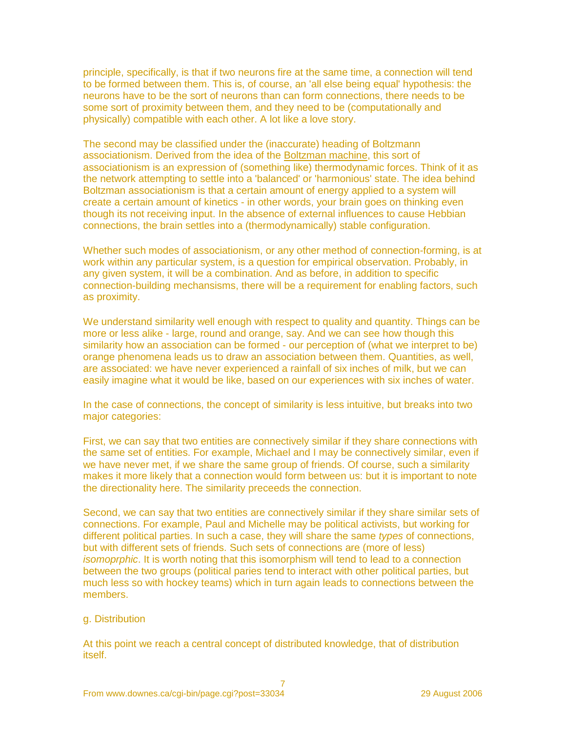principle, specifically, is that if two neurons fire at the same time, a connection will tend to be formed between them. This is, of course, an 'all else being equal' hypothesis: the neurons have to be the sort of neurons than can form connections, there needs to be some sort of proximity between them, and they need to be (computationally and physically) compatible with each other. A lot like a love story.

The second may be classified under the (inaccurate) heading of Boltzmann associationism. Derived from the idea of the Boltzman machine, this sort of associationism is an expression of (something like) thermodynamic forces. Think of it as the network attempting to settle into a 'balanced' or 'harmonious' state. The idea behind Boltzman associationism is that a certain amount of energy applied to a system will create a certain amount of kinetics - in other words, your brain goes on thinking even though its not receiving input. In the absence of external influences to cause Hebbian connections, the brain settles into a (thermodynamically) stable configuration.

Whether such modes of associationism, or any other method of connection-forming, is at work within any particular system, is a question for empirical observation. Probably, in any given system, it will be a combination. And as before, in addition to specific connection-building mechansisms, there will be a requirement for enabling factors, such as proximity.

We understand similarity well enough with respect to quality and quantity. Things can be more or less alike - large, round and orange, say. And we can see how though this similarity how an association can be formed - our perception of (what we interpret to be) orange phenomena leads us to draw an association between them. Quantities, as well, are associated: we have never experienced a rainfall of six inches of milk, but we can easily imagine what it would be like, based on our experiences with six inches of water.

In the case of connections, the concept of similarity is less intuitive, but breaks into two major categories:

First, we can say that two entities are connectively similar if they share connections with the same set of entities. For example, Michael and I may be connectively similar, even if we have never met, if we share the same group of friends. Of course, such a similarity makes it more likely that a connection would form between us: but it is important to note the directionality here. The similarity preceeds the connection.

Second, we can say that two entities are connectively similar if they share similar sets of connections. For example, Paul and Michelle may be political activists, but working for different political parties. In such a case, they will share the same *types* of connections, but with different sets of friends. Such sets of connections are (more of less) *isomoprphic*. It is worth noting that this isomorphism will tend to lead to a connection between the two groups (political paries tend to interact with other political parties, but much less so with hockey teams) which in turn again leads to connections between the members.

# g. Distribution

At this point we reach a central concept of distributed knowledge, that of distribution itself.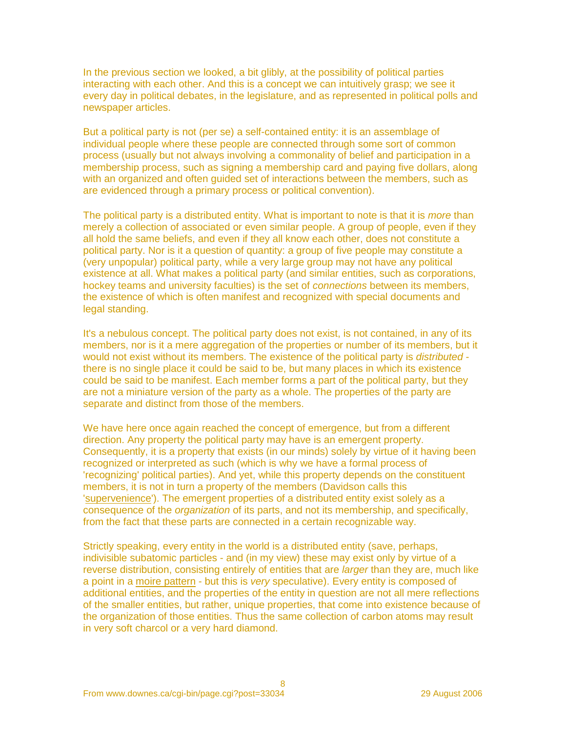In the previous section we looked, a bit glibly, at the possibility of political parties interacting with each other. And this is a concept we can intuitively grasp; we see it every day in political debates, in the legislature, and as represented in political polls and newspaper articles.

But a political party is not (per se) a self-contained entity: it is an assemblage of individual people where these people are connected through some sort of common process (usually but not always involving a commonality of belief and participation in a membership process, such as signing a membership card and paying five dollars, along with an organized and often guided set of interactions between the members, such as are evidenced through a primary process or political convention).

The political party is a distributed entity. What is important to note is that it is *more* than merely a collection of associated or even similar people. A group of people, even if they all hold the same beliefs, and even if they all know each other, does not constitute a political party. Nor is it a question of quantity: a group of five people may constitute a (very unpopular) political party, while a very large group may not have any political existence at all. What makes a political party (and similar entities, such as corporations, hockey teams and university faculties) is the set of *connections* between its members, the existence of which is often manifest and recognized with special documents and legal standing.

It's a nebulous concept. The political party does not exist, is not contained, in any of its members, nor is it a mere aggregation of the properties or number of its members, but it would not exist without its members. The existence of the political party is *distributed* there is no single place it could be said to be, but many places in which its existence could be said to be manifest. Each member forms a part of the political party, but they are not a miniature version of the party as a whole. The properties of the party are separate and distinct from those of the members.

We have here once again reached the concept of emergence, but from a different direction. Any property the political party may have is an emergent property. Consequently, it is a property that exists (in our minds) solely by virtue of it having been recognized or interpreted as such (which is why we have a formal process of 'recognizing' political parties). And yet, while this property depends on the constituent members, it is not in turn a property of the members (Davidson calls this 'supervenience'). The emergent properties of a distributed entity exist solely as a consequence of the *organization* of its parts, and not its membership, and specifically, from the fact that these parts are connected in a certain recognizable way.

Strictly speaking, every entity in the world is a distributed entity (save, perhaps, indivisible subatomic particles - and (in my view) these may exist only by virtue of a reverse distribution, consisting entirely of entities that are *larger* than they are, much like a point in a moire pattern - but this is *very* speculative). Every entity is composed of additional entities, and the properties of the entity in question are not all mere reflections of the smaller entities, but rather, unique properties, that come into existence because of the organization of those entities. Thus the same collection of carbon atoms may result in very soft charcol or a very hard diamond.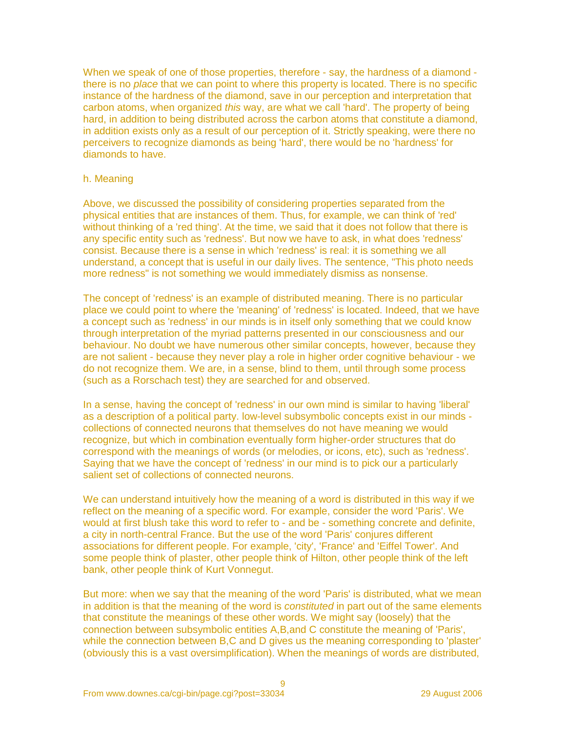When we speak of one of those properties, therefore - say, the hardness of a diamond there is no *place* that we can point to where this property is located. There is no specific instance of the hardness of the diamond, save in our perception and interpretation that carbon atoms, when organized *this* way, are what we call 'hard'. The property of being hard, in addition to being distributed across the carbon atoms that constitute a diamond, in addition exists only as a result of our perception of it. Strictly speaking, were there no perceivers to recognize diamonds as being 'hard', there would be no 'hardness' for diamonds to have.

# h. Meaning

Above, we discussed the possibility of considering properties separated from the physical entities that are instances of them. Thus, for example, we can think of 'red' without thinking of a 'red thing'. At the time, we said that it does not follow that there is any specific entity such as 'redness'. But now we have to ask, in what does 'redness' consist. Because there is a sense in which 'redness' is real: it is something we all understand, a concept that is useful in our daily lives. The sentence, "This photo needs more redness" is not something we would immediately dismiss as nonsense.

The concept of 'redness' is an example of distributed meaning. There is no particular place we could point to where the 'meaning' of 'redness' is located. Indeed, that we have a concept such as 'redness' in our minds is in itself only something that we could know through interpretation of the myriad patterns presented in our consciousness and our behaviour. No doubt we have numerous other similar concepts, however, because they are not salient - because they never play a role in higher order cognitive behaviour - we do not recognize them. We are, in a sense, blind to them, until through some process (such as a Rorschach test) they are searched for and observed.

In a sense, having the concept of 'redness' in our own mind is similar to having 'liberal' as a description of a political party. low-level subsymbolic concepts exist in our minds collections of connected neurons that themselves do not have meaning we would recognize, but which in combination eventually form higher-order structures that do correspond with the meanings of words (or melodies, or icons, etc), such as 'redness'. Saying that we have the concept of 'redness' in our mind is to pick our a particularly salient set of collections of connected neurons.

We can understand intuitively how the meaning of a word is distributed in this way if we reflect on the meaning of a specific word. For example, consider the word 'Paris'. We would at first blush take this word to refer to - and be - something concrete and definite, a city in north-central France. But the use of the word 'Paris' conjures different associations for different people. For example, 'city', 'France' and 'Eiffel Tower'. And some people think of plaster, other people think of Hilton, other people think of the left bank, other people think of Kurt Vonnegut.

But more: when we say that the meaning of the word 'Paris' is distributed, what we mean in addition is that the meaning of the word is *constituted* in part out of the same elements that constitute the meanings of these other words. We might say (loosely) that the connection between subsymbolic entities A,B,and C constitute the meaning of 'Paris', while the connection between B,C and D gives us the meaning corresponding to 'plaster' (obviously this is a vast oversimplification). When the meanings of words are distributed,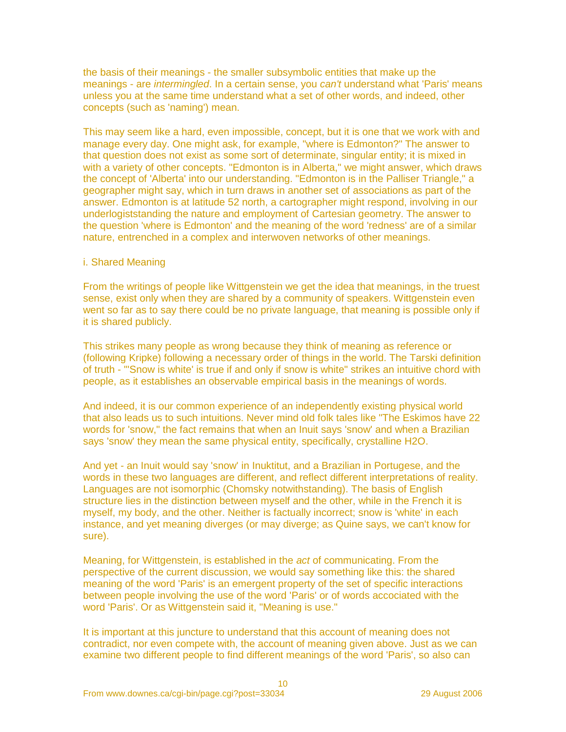the basis of their meanings - the smaller subsymbolic entities that make up the meanings - are *intermingled*. In a certain sense, you *can't* understand what 'Paris' means unless you at the same time understand what a set of other words, and indeed, other concepts (such as 'naming') mean.

This may seem like a hard, even impossible, concept, but it is one that we work with and manage every day. One might ask, for example, "where is Edmonton?" The answer to that question does not exist as some sort of determinate, singular entity; it is mixed in with a variety of other concepts. "Edmonton is in Alberta," we might answer, which draws the concept of 'Alberta' into our understanding. "Edmonton is in the Palliser Triangle," a geographer might say, which in turn draws in another set of associations as part of the answer. Edmonton is at latitude 52 north, a cartographer might respond, involving in our underlogiststanding the nature and employment of Cartesian geometry. The answer to the question 'where is Edmonton' and the meaning of the word 'redness' are of a similar nature, entrenched in a complex and interwoven networks of other meanings.

# i. Shared Meaning

From the writings of people like Wittgenstein we get the idea that meanings, in the truest sense, exist only when they are shared by a community of speakers. Wittgenstein even went so far as to say there could be no private language, that meaning is possible only if it is shared publicly.

This strikes many people as wrong because they think of meaning as reference or (following Kripke) following a necessary order of things in the world. The Tarski definition of truth - "'Snow is white' is true if and only if snow is white" strikes an intuitive chord with people, as it establishes an observable empirical basis in the meanings of words.

And indeed, it is our common experience of an independently existing physical world that also leads us to such intuitions. Never mind old folk tales like "The Eskimos have 22 words for 'snow," the fact remains that when an Inuit says 'snow' and when a Brazilian says 'snow' they mean the same physical entity, specifically, crystalline H2O.

And yet - an Inuit would say 'snow' in Inuktitut, and a Brazilian in Portugese, and the words in these two languages are different, and reflect different interpretations of reality. Languages are not isomorphic (Chomsky notwithstanding). The basis of English structure lies in the distinction between myself and the other, while in the French it is myself, my body, and the other. Neither is factually incorrect; snow is 'white' in each instance, and yet meaning diverges (or may diverge; as Quine says, we can't know for sure).

Meaning, for Wittgenstein, is established in the *act* of communicating. From the perspective of the current discussion, we would say something like this: the shared meaning of the word 'Paris' is an emergent property of the set of specific interactions between people involving the use of the word 'Paris' or of words accociated with the word 'Paris'. Or as Wittgenstein said it, "Meaning is use."

It is important at this juncture to understand that this account of meaning does not contradict, nor even compete with, the account of meaning given above. Just as we can examine two different people to find different meanings of the word 'Paris', so also can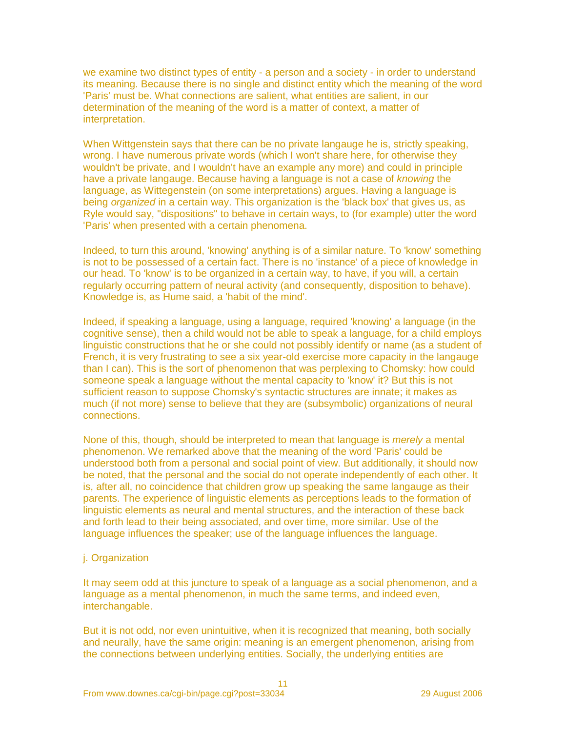we examine two distinct types of entity - a person and a society - in order to understand its meaning. Because there is no single and distinct entity which the meaning of the word 'Paris' must be. What connections are salient, what entities are salient, in our determination of the meaning of the word is a matter of context, a matter of interpretation.

When Wittgenstein says that there can be no private langauge he is, strictly speaking, wrong. I have numerous private words (which I won't share here, for otherwise they wouldn't be private, and I wouldn't have an example any more) and could in principle have a private langauge. Because having a language is not a case of *knowing* the language, as Wittegenstein (on some interpretations) argues. Having a language is being *organized* in a certain way. This organization is the 'black box' that gives us, as Ryle would say, "dispositions" to behave in certain ways, to (for example) utter the word 'Paris' when presented with a certain phenomena.

Indeed, to turn this around, 'knowing' anything is of a similar nature. To 'know' something is not to be possessed of a certain fact. There is no 'instance' of a piece of knowledge in our head. To 'know' is to be organized in a certain way, to have, if you will, a certain regularly occurring pattern of neural activity (and consequently, disposition to behave). Knowledge is, as Hume said, a 'habit of the mind'.

Indeed, if speaking a language, using a language, required 'knowing' a language (in the cognitive sense), then a child would not be able to speak a language, for a child employs linguistic constructions that he or she could not possibly identify or name (as a student of French, it is very frustrating to see a six year-old exercise more capacity in the langauge than I can). This is the sort of phenomenon that was perplexing to Chomsky: how could someone speak a language without the mental capacity to 'know' it? But this is not sufficient reason to suppose Chomsky's syntactic structures are innate; it makes as much (if not more) sense to believe that they are (subsymbolic) organizations of neural connections.

None of this, though, should be interpreted to mean that language is *merely* a mental phenomenon. We remarked above that the meaning of the word 'Paris' could be understood both from a personal and social point of view. But additionally, it should now be noted, that the personal and the social do not operate independently of each other. It is, after all, no coincidence that children grow up speaking the same langauge as their parents. The experience of linguistic elements as perceptions leads to the formation of linguistic elements as neural and mental structures, and the interaction of these back and forth lead to their being associated, and over time, more similar. Use of the language influences the speaker; use of the language influences the language.

# j. Organization

It may seem odd at this juncture to speak of a language as a social phenomenon, and a language as a mental phenomenon, in much the same terms, and indeed even, interchangable.

But it is not odd, nor even unintuitive, when it is recognized that meaning, both socially and neurally, have the same origin: meaning is an emergent phenomenon, arising from the connections between underlying entities. Socially, the underlying entities are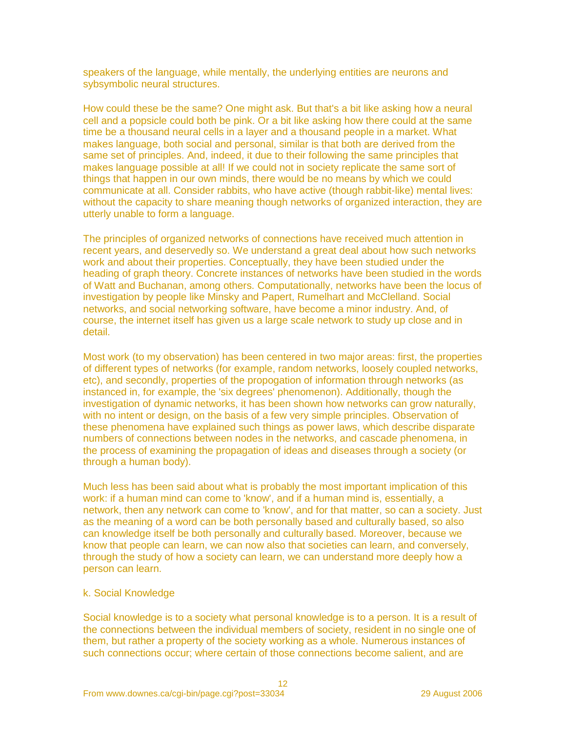speakers of the language, while mentally, the underlying entities are neurons and sybsymbolic neural structures.

How could these be the same? One might ask. But that's a bit like asking how a neural cell and a popsicle could both be pink. Or a bit like asking how there could at the same time be a thousand neural cells in a layer and a thousand people in a market. What makes language, both social and personal, similar is that both are derived from the same set of principles. And, indeed, it due to their following the same principles that makes language possible at all! If we could not in society replicate the same sort of things that happen in our own minds, there would be no means by which we could communicate at all. Consider rabbits, who have active (though rabbit-like) mental lives: without the capacity to share meaning though networks of organized interaction, they are utterly unable to form a language.

The principles of organized networks of connections have received much attention in recent years, and deservedly so. We understand a great deal about how such networks work and about their properties. Conceptually, they have been studied under the heading of graph theory. Concrete instances of networks have been studied in the words of Watt and Buchanan, among others. Computationally, networks have been the locus of investigation by people like Minsky and Papert, Rumelhart and McClelland. Social networks, and social networking software, have become a minor industry. And, of course, the internet itself has given us a large scale network to study up close and in detail.

Most work (to my observation) has been centered in two major areas: first, the properties of different types of networks (for example, random networks, loosely coupled networks, etc), and secondly, properties of the propogation of information through networks (as instanced in, for example, the 'six degrees' phenomenon). Additionally, though the investigation of dynamic networks, it has been shown how networks can grow naturally, with no intent or design, on the basis of a few very simple principles. Observation of these phenomena have explained such things as power laws, which describe disparate numbers of connections between nodes in the networks, and cascade phenomena, in the process of examining the propagation of ideas and diseases through a society (or through a human body).

Much less has been said about what is probably the most important implication of this work: if a human mind can come to 'know', and if a human mind is, essentially, a network, then any network can come to 'know', and for that matter, so can a society. Just as the meaning of a word can be both personally based and culturally based, so also can knowledge itself be both personally and culturally based. Moreover, because we know that people can learn, we can now also that societies can learn, and conversely, through the study of how a society can learn, we can understand more deeply how a person can learn.

# k. Social Knowledge

Social knowledge is to a society what personal knowledge is to a person. It is a result of the connections between the individual members of society, resident in no single one of them, but rather a property of the society working as a whole. Numerous instances of such connections occur; where certain of those connections become salient, and are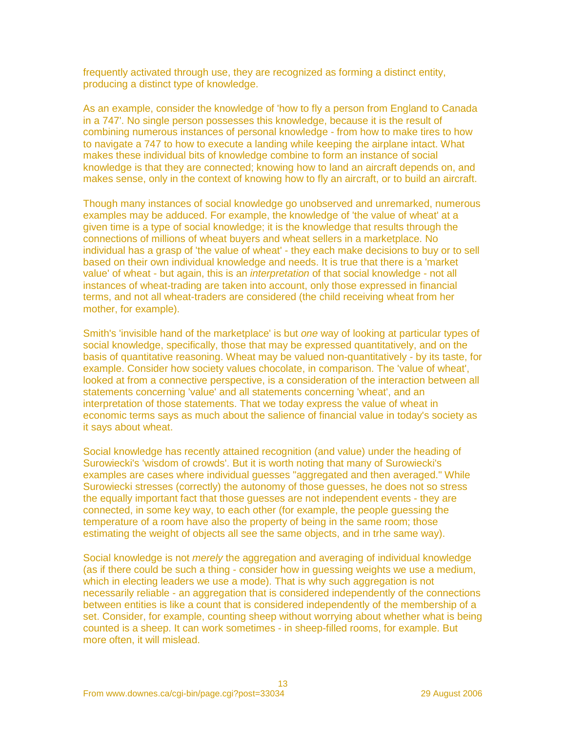frequently activated through use, they are recognized as forming a distinct entity, producing a distinct type of knowledge.

As an example, consider the knowledge of 'how to fly a person from England to Canada in a 747'. No single person possesses this knowledge, because it is the result of combining numerous instances of personal knowledge - from how to make tires to how to navigate a 747 to how to execute a landing while keeping the airplane intact. What makes these individual bits of knowledge combine to form an instance of social knowledge is that they are connected; knowing how to land an aircraft depends on, and makes sense, only in the context of knowing how to fly an aircraft, or to build an aircraft.

Though many instances of social knowledge go unobserved and unremarked, numerous examples may be adduced. For example, the knowledge of 'the value of wheat' at a given time is a type of social knowledge; it is the knowledge that results through the connections of millions of wheat buyers and wheat sellers in a marketplace. No individual has a grasp of 'the value of wheat' - they each make decisions to buy or to sell based on their own individual knowledge and needs. It is true that there is a 'market value' of wheat - but again, this is an *interpretation* of that social knowledge - not all instances of wheat-trading are taken into account, only those expressed in financial terms, and not all wheat-traders are considered (the child receiving wheat from her mother, for example).

Smith's 'invisible hand of the marketplace' is but *one* way of looking at particular types of social knowledge, specifically, those that may be expressed quantitatively, and on the basis of quantitative reasoning. Wheat may be valued non-quantitatively - by its taste, for example. Consider how society values chocolate, in comparison. The 'value of wheat', looked at from a connective perspective, is a consideration of the interaction between all statements concerning 'value' and all statements concerning 'wheat', and an interpretation of those statements. That we today express the value of wheat in economic terms says as much about the salience of financial value in today's society as it says about wheat.

Social knowledge has recently attained recognition (and value) under the heading of Surowiecki's 'wisdom of crowds'. But it is worth noting that many of Surowiecki's examples are cases where individual guesses "aggregated and then averaged." While Surowiecki stresses (correctly) the autonomy of those guesses, he does not so stress the equally important fact that those guesses are not independent events - they are connected, in some key way, to each other (for example, the people guessing the temperature of a room have also the property of being in the same room; those estimating the weight of objects all see the same objects, and in trhe same way).

Social knowledge is not *merely* the aggregation and averaging of individual knowledge (as if there could be such a thing - consider how in guessing weights we use a medium, which in electing leaders we use a mode). That is why such aggregation is not necessarily reliable - an aggregation that is considered independently of the connections between entities is like a count that is considered independently of the membership of a set. Consider, for example, counting sheep without worrying about whether what is being counted is a sheep. It can work sometimes - in sheep-filled rooms, for example. But more often, it will mislead.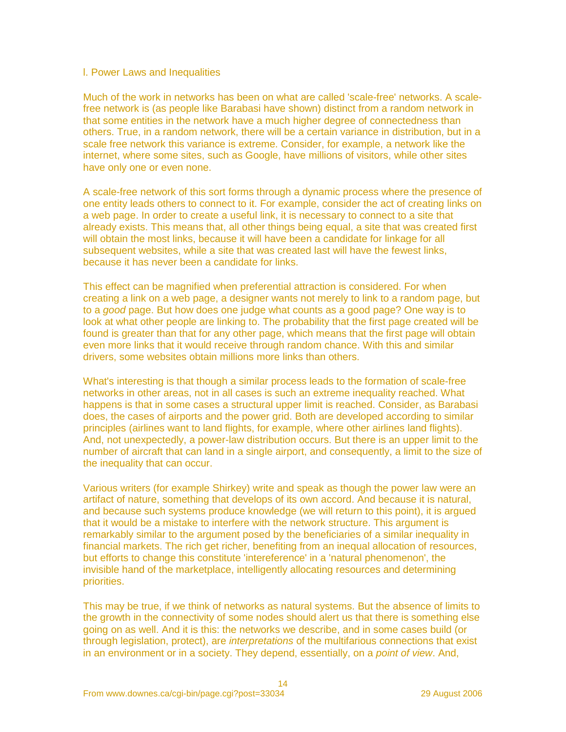#### l. Power Laws and Inequalities

Much of the work in networks has been on what are called 'scale-free' networks. A scalefree network is (as people like Barabasi have shown) distinct from a random network in that some entities in the network have a much higher degree of connectedness than others. True, in a random network, there will be a certain variance in distribution, but in a scale free network this variance is extreme. Consider, for example, a network like the internet, where some sites, such as Google, have millions of visitors, while other sites have only one or even none.

A scale-free network of this sort forms through a dynamic process where the presence of one entity leads others to connect to it. For example, consider the act of creating links on a web page. In order to create a useful link, it is necessary to connect to a site that already exists. This means that, all other things being equal, a site that was created first will obtain the most links, because it will have been a candidate for linkage for all subsequent websites, while a site that was created last will have the fewest links, because it has never been a candidate for links.

This effect can be magnified when preferential attraction is considered. For when creating a link on a web page, a designer wants not merely to link to a random page, but to a *good* page. But how does one judge what counts as a good page? One way is to look at what other people are linking to. The probability that the first page created will be found is greater than that for any other page, which means that the first page will obtain even more links that it would receive through random chance. With this and similar drivers, some websites obtain millions more links than others.

What's interesting is that though a similar process leads to the formation of scale-free networks in other areas, not in all cases is such an extreme inequality reached. What happens is that in some cases a structural upper limit is reached. Consider, as Barabasi does, the cases of airports and the power grid. Both are developed according to similar principles (airlines want to land flights, for example, where other airlines land flights). And, not unexpectedly, a power-law distribution occurs. But there is an upper limit to the number of aircraft that can land in a single airport, and consequently, a limit to the size of the inequality that can occur.

Various writers (for example Shirkey) write and speak as though the power law were an artifact of nature, something that develops of its own accord. And because it is natural, and because such systems produce knowledge (we will return to this point), it is argued that it would be a mistake to interfere with the network structure. This argument is remarkably similar to the argument posed by the beneficiaries of a similar inequality in financial markets. The rich get richer, benefiting from an inequal allocation of resources, but efforts to change this constitute 'intereference' in a 'natural phenomenon', the invisible hand of the marketplace, intelligently allocating resources and determining priorities.

This may be true, if we think of networks as natural systems. But the absence of limits to the growth in the connectivity of some nodes should alert us that there is something else going on as well. And it is this: the networks we describe, and in some cases build (or through legislation, protect), are *interpretations* of the multifarious connections that exist in an environment or in a society. They depend, essentially, on a *point of view*. And,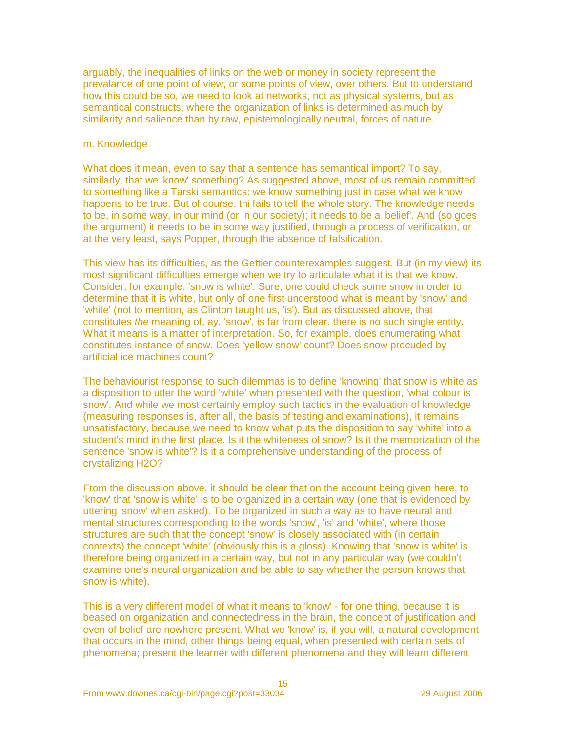arguably, the inequalities of links on the web or money in society represent the prevalance of one point of view, or some points of view, over others. But to understand how this could be so, we need to look at networks, not as physical systems, but as semantical constructs, where the organization of links is determined as much by similarity and salience than by raw, epistemologically neutral, forces of nature.

# m. Knowledge

What does it mean, even to say that a sentence has semantical import? To say, similarly, that we 'know' something? As suggested above, most of us remain committed to something like a Tarski semantics: we know something just in case what we know happens to be true. But of course, thi fails to tell the whole story. The knowledge needs to be, in some way, in our mind (or in our society); it needs to be a 'belief'. And (so goes the argument) it needs to be in some way justified, through a process of verification, or at the very least, says Popper, through the absence of falsification.

This view has its difficulties, as the Gettier counterexamples suggest. But (in my view) its most significant difficulties emerge when we try to articulate what it is that we know. Consider, for example, 'snow is white'. Sure, one could check some snow in order to determine that it is white, but only of one first understood what is meant by 'snow' and 'white' (not to mention, as Clinton taught us, 'is'). But as discussed above, that constitutes *the* meaning of, ay, 'snow', is far from clear. there is no such single entity. What it means is a matter of interpretation. So, for example, does enumerating what constitutes instance of snow. Does 'yellow snow' count? Does snow procuded by artificial ice machines count?

The behaviourist response to such dilemmas is to define 'knowing' that snow is white as a disposition to utter the word 'white' when presented with the question, 'what colour is snow'. And while we most certainly employ such tactics in the evaluation of knowledge (measuring responses is, after all, the basis of testing and examinations), it remains unsatisfactory, because we need to know what puts the disposition to say 'white' into a student's mind in the first place. Is it the whiteness of snow? Is it the memorization of the sentence 'snow is white'? Is it a comprehensive understanding of the process of crystalizing H2O?

From the discussion above, it should be clear that on the account being given here, to 'know' that 'snow is white' is to be organized in a certain way (one that is evidenced by uttering 'snow' when asked). To be organized in such a way as to have neural and mental structures corresponding to the words 'snow', 'is' and 'white', where those structures are such that the concept 'snow' is closely associated with (in certain contexts) the concept 'white' (obviously this is a gloss). Knowing that 'snow is white' is therefore being organized in a certain way, but not in any particular way (we couldn't examine one's neural organization and be able to say whether the person knows that snow is white).

This is a very different model of what it means to 'know' - for one thing, because it is beased on organization and connectedness in the brain, the concept of justification and even of belief are nowhere present. What we 'know' is, if you will, a natural development that occurs in the mind, other things being equal, when presented with certain sets of phenomena; present the learner with different phenomena and they will learn different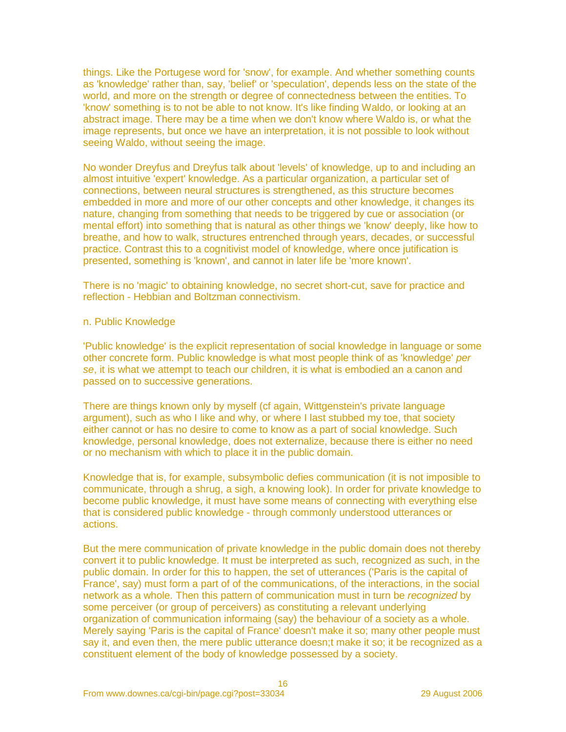things. Like the Portugese word for 'snow', for example. And whether something counts as 'knowledge' rather than, say, 'belief' or 'speculation', depends less on the state of the world, and more on the strength or degree of connectedness between the entities. To 'know' something is to not be able to not know. It's like finding Waldo, or looking at an abstract image. There may be a time when we don't know where Waldo is, or what the image represents, but once we have an interpretation, it is not possible to look without seeing Waldo, without seeing the image.

No wonder Dreyfus and Dreyfus talk about 'levels' of knowledge, up to and including an almost intuitive 'expert' knowledge. As a particular organization, a particular set of connections, between neural structures is strengthened, as this structure becomes embedded in more and more of our other concepts and other knowledge, it changes its nature, changing from something that needs to be triggered by cue or association (or mental effort) into something that is natural as other things we 'know' deeply, like how to breathe, and how to walk, structures entrenched through years, decades, or successful practice. Contrast this to a cognitivist model of knowledge, where once jutification is presented, something is 'known', and cannot in later life be 'more known'.

There is no 'magic' to obtaining knowledge, no secret short-cut, save for practice and reflection - Hebbian and Boltzman connectivism.

#### n. Public Knowledge

'Public knowledge' is the explicit representation of social knowledge in language or some other concrete form. Public knowledge is what most people think of as 'knowledge' *per se*, it is what we attempt to teach our children, it is what is embodied an a canon and passed on to successive generations.

There are things known only by myself (cf again, Wittgenstein's private language argument), such as who I like and why, or where I last stubbed my toe, that society either cannot or has no desire to come to know as a part of social knowledge. Such knowledge, personal knowledge, does not externalize, because there is either no need or no mechanism with which to place it in the public domain.

Knowledge that is, for example, subsymbolic defies communication (it is not imposible to communicate, through a shrug, a sigh, a knowing look). In order for private knowledge to become public knowledge, it must have some means of connecting with everything else that is considered public knowledge - through commonly understood utterances or actions.

But the mere communication of private knowledge in the public domain does not thereby convert it to public knowledge. It must be interpreted as such, recognized as such, in the public domain. In order for this to happen, the set of utterances ('Paris is the capital of France', say) must form a part of of the communications, of the interactions, in the social network as a whole. Then this pattern of communication must in turn be *recognized* by some perceiver (or group of perceivers) as constituting a relevant underlying organization of communication informaing (say) the behaviour of a society as a whole. Merely saying 'Paris is the capital of France' doesn't make it so; many other people must say it, and even then, the mere public utterance doesn;t make it so; it be recognized as a constituent element of the body of knowledge possessed by a society.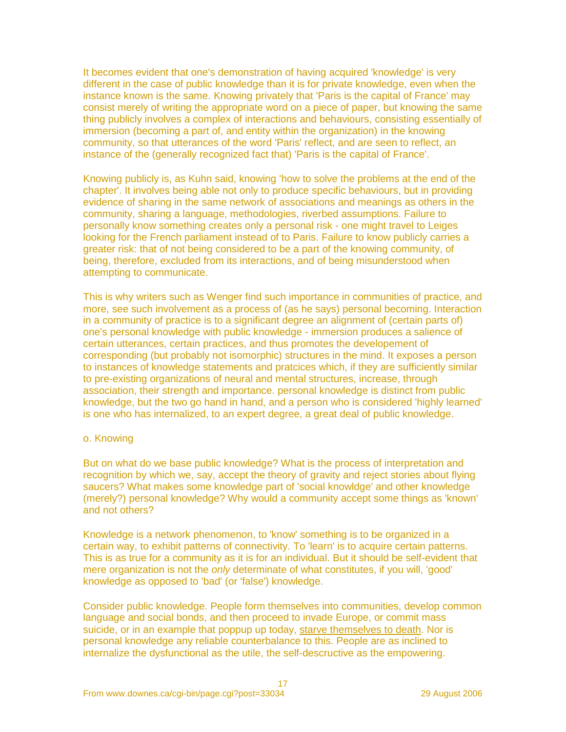It becomes evident that one's demonstration of having acquired 'knowledge' is very different in the case of public knowledge than it is for private knowledge, even when the instance known is the same. Knowing privately that 'Paris is the capital of France' may consist merely of writing the appropriate word on a piece of paper, but knowing the same thing publicly involves a complex of interactions and behaviours, consisting essentially of immersion (becoming a part of, and entity within the organization) in the knowing community, so that utterances of the word 'Paris' reflect, and are seen to reflect, an instance of the (generally recognized fact that) 'Paris is the capital of France'.

Knowing publicly is, as Kuhn said, knowing 'how to solve the problems at the end of the chapter'. It involves being able not only to produce specific behaviours, but in providing evidence of sharing in the same network of associations and meanings as others in the community, sharing a language, methodologies, riverbed assumptions. Failure to personally know something creates only a personal risk - one might travel to Leiges looking for the French parliament instead of to Paris. Failure to know publicly carries a greater risk: that of not being considered to be a part of the knowing community, of being, therefore, excluded from its interactions, and of being misunderstood when attempting to communicate.

This is why writers such as Wenger find such importance in communities of practice, and more, see such involvement as a process of (as he says) personal becoming. Interaction in a community of practice is to a significant degree an alignment of (certain parts of) one's personal knowledge with public knowledge - immersion produces a salience of certain utterances, certain practices, and thus promotes the developement of corresponding (but probably not isomorphic) structures in the mind. It exposes a person to instances of knowledge statements and pratcices which, if they are sufficiently similar to pre-existing organizations of neural and mental structures, increase, through association, their strength and importance. personal knowledge is distinct from public knowledge, but the two go hand in hand, and a person who is considered 'highly learned' is one who has internalized, to an expert degree, a great deal of public knowledge.

# o. Knowing

But on what do we base public knowledge? What is the process of interpretation and recognition by which we, say, accept the theory of gravity and reject stories about flying saucers? What makes some knowledge part of 'social knowldge' and other knowledge (merely?) personal knowledge? Why would a community accept some things as 'known' and not others?

Knowledge is a network phenomenon, to 'know' something is to be organized in a certain way, to exhibit patterns of connectivity. To 'learn' is to acquire certain patterns. This is as true for a community as it is for an individual. But it should be self-evident that mere organization is not the *only* determinate of what constitutes, if you will, 'good' knowledge as opposed to 'bad' (or 'false') knowledge.

Consider public knowledge. People form themselves into communities, develop common language and social bonds, and then proceed to invade Europe, or commit mass suicide, or in an example that poppup up today, starve themselves to death. Nor is personal knowledge any reliable counterbalance to this. People are as inclined to internalize the dysfunctional as the utile, the self-descructive as the empowering.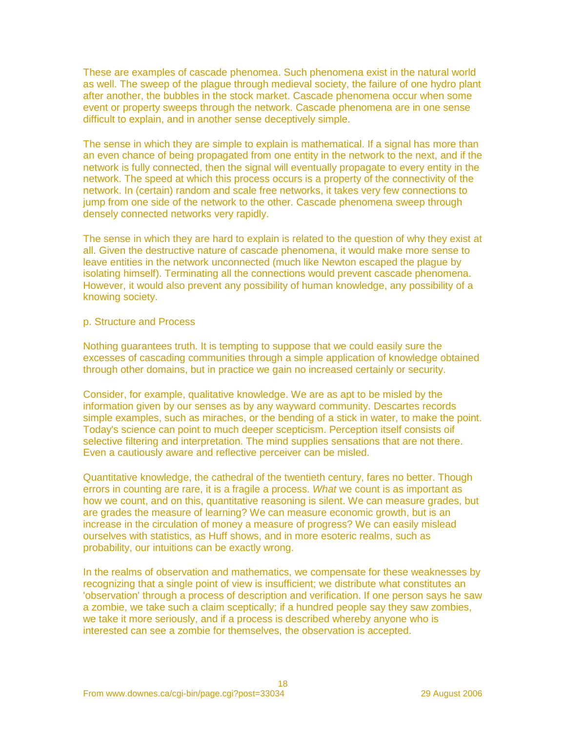These are examples of cascade phenomea. Such phenomena exist in the natural world as well. The sweep of the plague through medieval society, the failure of one hydro plant after another, the bubbles in the stock market. Cascade phenomena occur when some event or property sweeps through the network. Cascade phenomena are in one sense difficult to explain, and in another sense deceptively simple.

The sense in which they are simple to explain is mathematical. If a signal has more than an even chance of being propagated from one entity in the network to the next, and if the network is fully connected, then the signal will eventually propagate to every entity in the network. The speed at which this process occurs is a property of the connectivity of the network. In (certain) random and scale free networks, it takes very few connections to jump from one side of the network to the other. Cascade phenomena sweep through densely connected networks very rapidly.

The sense in which they are hard to explain is related to the question of why they exist at all. Given the destructive nature of cascade phenomena, it would make more sense to leave entities in the network unconnected (much like Newton escaped the plague by isolating himself). Terminating all the connections would prevent cascade phenomena. However, it would also prevent any possibility of human knowledge, any possibility of a knowing society.

# p. Structure and Process

Nothing guarantees truth. It is tempting to suppose that we could easily sure the excesses of cascading communities through a simple application of knowledge obtained through other domains, but in practice we gain no increased certainly or security.

Consider, for example, qualitative knowledge. We are as apt to be misled by the information given by our senses as by any wayward community. Descartes records simple examples, such as miraches, or the bending of a stick in water, to make the point. Today's science can point to much deeper scepticism. Perception itself consists oif selective filtering and interpretation. The mind supplies sensations that are not there. Even a cautiously aware and reflective perceiver can be misled.

Quantitative knowledge, the cathedral of the twentieth century, fares no better. Though errors in counting are rare, it is a fragile a process. *What* we count is as important as how we count, and on this, quantitative reasoning is silent. We can measure grades, but are grades the measure of learning? We can measure economic growth, but is an increase in the circulation of money a measure of progress? We can easily mislead ourselves with statistics, as Huff shows, and in more esoteric realms, such as probability, our intuitions can be exactly wrong.

In the realms of observation and mathematics, we compensate for these weaknesses by recognizing that a single point of view is insufficient; we distribute what constitutes an 'observation' through a process of description and verification. If one person says he saw a zombie, we take such a claim sceptically; if a hundred people say they saw zombies, we take it more seriously, and if a process is described whereby anyone who is interested can see a zombie for themselves, the observation is accepted.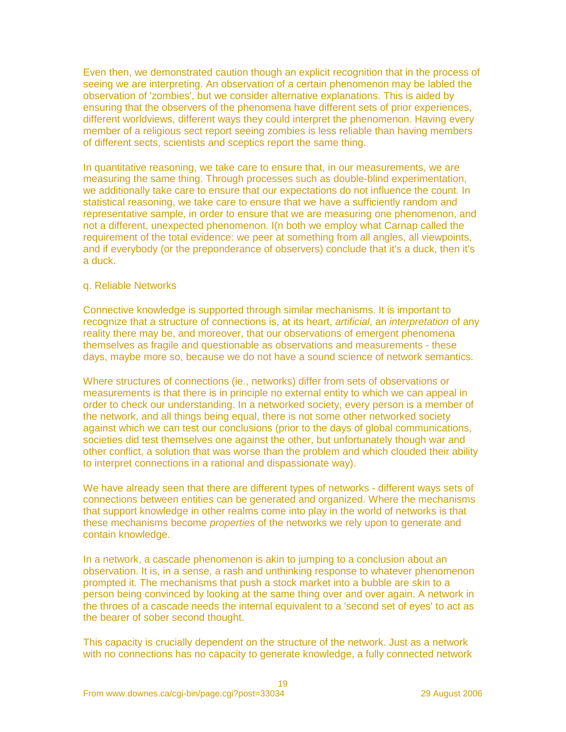Even then, we demonstrated caution though an explicit recognition that in the process of seeing we are interpreting. An observation of a certain phenomenon may be labled the observation of 'zombies', but we consider alternative explanations. This is aided by ensuring that the observers of the phenomena have different sets of prior experiences, different worldviews, different ways they could interpret the phenomenon. Having every member of a religious sect report seeing zombies is less reliable than having members of different sects, scientists and sceptics report the same thing.

In quantitative reasoning, we take care to ensure that, in our measurements, we are measuring the same thing. Through processes such as double-blind experimentation, we additionally take care to ensure that our expectations do not influence the count. In statistical reasoning, we take care to ensure that we have a sufficiently random and representative sample, in order to ensure that we are measuring one phenomenon, and not a different, unexpected phenomenon. I(n both we employ what Carnap called the requirement of the total evidence: we peer at something from all angles, all viewpoints, and if everybody (or the preponderance of observers) conclude that it's a duck, then it's a duck.

#### q. Reliable Networks

Connective knowledge is supported through similar mechanisms. It is important to recognize that a structure of connections is, at its heart, *artificial*, an *interpretation* of any reality there may be, and moreover, that our observations of emergent phenomena themselves as fragile and questionable as observations and measurements - these days, maybe more so, because we do not have a sound science of network semantics.

Where structures of connections (ie., networks) differ from sets of observations or measurements is that there is in principle no external entity to which we can appeal in order to check our understanding. In a networked society, every person is a member of the network, and all things being equal, there is not some other networked society against which we can test our conclusions (prior to the days of global communications, societies did test themselves one against the other, but unfortunately though war and other conflict, a solution that was worse than the problem and which clouded their ability to interpret connections in a rational and dispassionate way).

We have already seen that there are different types of networks - different ways sets of connections between entities can be generated and organized. Where the mechanisms that support knowledge in other realms come into play in the world of networks is that these mechanisms become *properties* of the networks we rely upon to generate and contain knowledge.

In a network, a cascade phenomenon is akin to jumping to a conclusion about an observation. It is, in a sense, a rash and unthinking response to whatever phenomenon prompted it. The mechanisms that push a stock market into a bubble are skin to a person being convinced by looking at the same thing over and over again. A network in the throes of a cascade needs the internal equivalent to a 'second set of eyes' to act as the bearer of sober second thought.

This capacity is crucially dependent on the structure of the network. Just as a network with no connections has no capacity to generate knowledge, a fully connected network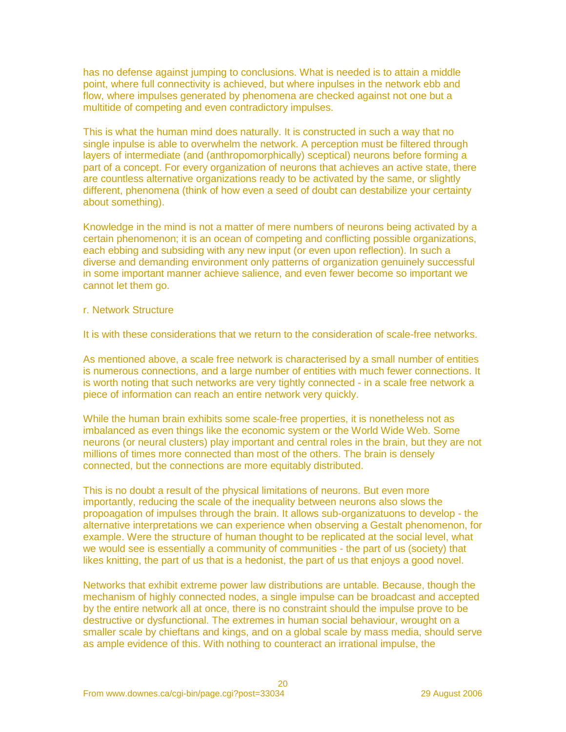has no defense against jumping to conclusions. What is needed is to attain a middle point, where full connectivity is achieved, but where inpulses in the network ebb and flow, where impulses generated by phenomena are checked against not one but a multitide of competing and even contradictory impulses.

This is what the human mind does naturally. It is constructed in such a way that no single inpulse is able to overwhelm the network. A perception must be filtered through layers of intermediate (and (anthropomorphically) sceptical) neurons before forming a part of a concept. For every organization of neurons that achieves an active state, there are countless alternative organizations ready to be activated by the same, or slightly different, phenomena (think of how even a seed of doubt can destabilize your certainty about something).

Knowledge in the mind is not a matter of mere numbers of neurons being activated by a certain phenomenon; it is an ocean of competing and conflicting possible organizations, each ebbing and subsiding with any new input (or even upon reflection). In such a diverse and demanding environment only patterns of organization genuinely successful in some important manner achieve salience, and even fewer become so important we cannot let them go.

# r. Network Structure

It is with these considerations that we return to the consideration of scale-free networks.

As mentioned above, a scale free network is characterised by a small number of entities is numerous connections, and a large number of entities with much fewer connections. It is worth noting that such networks are very tightly connected - in a scale free network a piece of information can reach an entire network very quickly.

While the human brain exhibits some scale-free properties, it is nonetheless not as imbalanced as even things like the economic system or the World Wide Web. Some neurons (or neural clusters) play important and central roles in the brain, but they are not millions of times more connected than most of the others. The brain is densely connected, but the connections are more equitably distributed.

This is no doubt a result of the physical limitations of neurons. But even more importantly, reducing the scale of the inequality between neurons also slows the propoagation of impulses through the brain. It allows sub-organizatuons to develop - the alternative interpretations we can experience when observing a Gestalt phenomenon, for example. Were the structure of human thought to be replicated at the social level, what we would see is essentially a community of communities - the part of us (society) that likes knitting, the part of us that is a hedonist, the part of us that enjoys a good novel.

Networks that exhibit extreme power law distributions are untable. Because, though the mechanism of highly connected nodes, a single impulse can be broadcast and accepted by the entire network all at once, there is no constraint should the impulse prove to be destructive or dysfunctional. The extremes in human social behaviour, wrought on a smaller scale by chieftans and kings, and on a global scale by mass media, should serve as ample evidence of this. With nothing to counteract an irrational impulse, the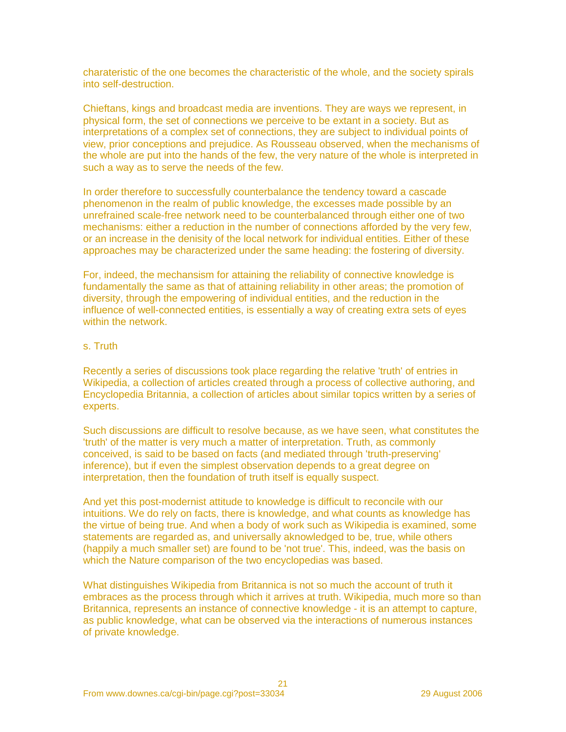charateristic of the one becomes the characteristic of the whole, and the society spirals into self-destruction.

Chieftans, kings and broadcast media are inventions. They are ways we represent, in physical form, the set of connections we perceive to be extant in a society. But as interpretations of a complex set of connections, they are subject to individual points of view, prior conceptions and prejudice. As Rousseau observed, when the mechanisms of the whole are put into the hands of the few, the very nature of the whole is interpreted in such a way as to serve the needs of the few.

In order therefore to successfully counterbalance the tendency toward a cascade phenomenon in the realm of public knowledge, the excesses made possible by an unrefrained scale-free network need to be counterbalanced through either one of two mechanisms: either a reduction in the number of connections afforded by the very few, or an increase in the denisity of the local network for individual entities. Either of these approaches may be characterized under the same heading: the fostering of diversity.

For, indeed, the mechansism for attaining the reliability of connective knowledge is fundamentally the same as that of attaining reliability in other areas; the promotion of diversity, through the empowering of individual entities, and the reduction in the influence of well-connected entities, is essentially a way of creating extra sets of eyes within the network.

# s. Truth

Recently a series of discussions took place regarding the relative 'truth' of entries in Wikipedia, a collection of articles created through a process of collective authoring, and Encyclopedia Britannia, a collection of articles about similar topics written by a series of experts.

Such discussions are difficult to resolve because, as we have seen, what constitutes the 'truth' of the matter is very much a matter of interpretation. Truth, as commonly conceived, is said to be based on facts (and mediated through 'truth-preserving' inference), but if even the simplest observation depends to a great degree on interpretation, then the foundation of truth itself is equally suspect.

And yet this post-modernist attitude to knowledge is difficult to reconcile with our intuitions. We do rely on facts, there is knowledge, and what counts as knowledge has the virtue of being true. And when a body of work such as Wikipedia is examined, some statements are regarded as, and universally aknowledged to be, true, while others (happily a much smaller set) are found to be 'not true'. This, indeed, was the basis on which the Nature comparison of the two encyclopedias was based.

What distinguishes Wikipedia from Britannica is not so much the account of truth it embraces as the process through which it arrives at truth. Wikipedia, much more so than Britannica, represents an instance of connective knowledge - it is an attempt to capture, as public knowledge, what can be observed via the interactions of numerous instances of private knowledge.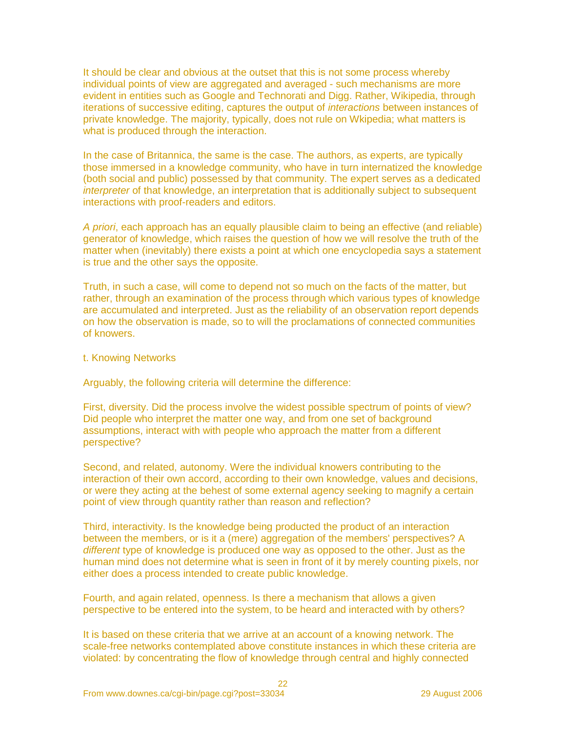It should be clear and obvious at the outset that this is not some process whereby individual points of view are aggregated and averaged - such mechanisms are more evident in entities such as Google and Technorati and Digg. Rather, Wikipedia, through iterations of successive editing, captures the output of *interactions* between instances of private knowledge. The majority, typically, does not rule on Wkipedia; what matters is what is produced through the interaction.

In the case of Britannica, the same is the case. The authors, as experts, are typically those immersed in a knowledge community, who have in turn internatized the knowledge (both social and public) possessed by that community. The expert serves as a dedicated *interpreter* of that knowledge, an interpretation that is additionally subject to subsequent interactions with proof-readers and editors.

*A priori*, each approach has an equally plausible claim to being an effective (and reliable) generator of knowledge, which raises the question of how we will resolve the truth of the matter when (inevitably) there exists a point at which one encyclopedia says a statement is true and the other says the opposite.

Truth, in such a case, will come to depend not so much on the facts of the matter, but rather, through an examination of the process through which various types of knowledge are accumulated and interpreted. Just as the reliability of an observation report depends on how the observation is made, so to will the proclamations of connected communities of knowers.

# t. Knowing Networks

Arguably, the following criteria will determine the difference:

First, diversity. Did the process involve the widest possible spectrum of points of view? Did people who interpret the matter one way, and from one set of background assumptions, interact with with people who approach the matter from a different perspective?

Second, and related, autonomy. Were the individual knowers contributing to the interaction of their own accord, according to their own knowledge, values and decisions, or were they acting at the behest of some external agency seeking to magnify a certain point of view through quantity rather than reason and reflection?

Third, interactivity. Is the knowledge being producted the product of an interaction between the members, or is it a (mere) aggregation of the members' perspectives? A *different* type of knowledge is produced one way as opposed to the other. Just as the human mind does not determine what is seen in front of it by merely counting pixels, nor either does a process intended to create public knowledge.

Fourth, and again related, openness. Is there a mechanism that allows a given perspective to be entered into the system, to be heard and interacted with by others?

It is based on these criteria that we arrive at an account of a knowing network. The scale-free networks contemplated above constitute instances in which these criteria are violated: by concentrating the flow of knowledge through central and highly connected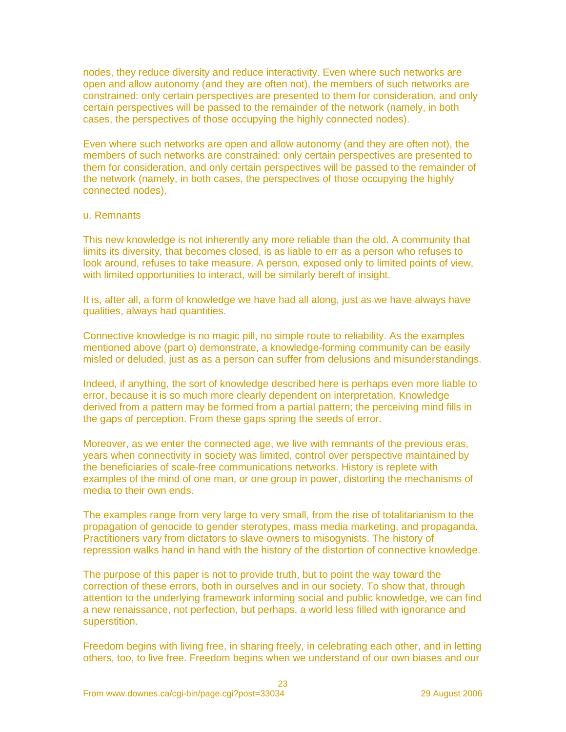nodes, they reduce diversity and reduce interactivity. Even where such networks are open and allow autonomy (and they are often not), the members of such networks are constrained: only certain perspectives are presented to them for consideration, and only certain perspectives will be passed to the remainder of the network (namely, in both cases, the perspectives of those occupying the highly connected nodes).

Even where such networks are open and allow autonomy (and they are often not), the members of such networks are constrained: only certain perspectives are presented to them for consideration, and only certain perspectives will be passed to the remainder of the network (namely, in both cases, the perspectives of those occupying the highly connected nodes).

# u. Remnants

This new knowledge is not inherently any more reliable than the old. A community that limits its diversity, that becomes closed, is as liable to err as a person who refuses to look around, refuses to take measure. A person, exposed only to limited points of view, with limited opportunities to interact, will be similarly bereft of insight.

It is, after all, a form of knowledge we have had all along, just as we have always have qualities, always had quantities.

Connective knowledge is no magic pill, no simple route to reliability. As the examples mentioned above (part o) demonstrate, a knowledge-forming community can be easily misled or deluded, just as as a person can suffer from delusions and misunderstandings.

Indeed, if anything, the sort of knowledge described here is perhaps even more liable to error, because it is so much more clearly dependent on interpretation. Knowledge derived from a pattern may be formed from a partial pattern; the perceiving mind fills in the gaps of perception. From these gaps spring the seeds of error.

Moreover, as we enter the connected age, we live with remnants of the previous eras, years when connectivity in society was limited, control over perspective maintained by the beneficiaries of scale-free communications networks. History is replete with examples of the mind of one man, or one group in power, distorting the mechanisms of media to their own ends.

The examples range from very large to very small, from the rise of totalitarianism to the propagation of genocide to gender sterotypes, mass media marketing, and propaganda. Practitioners vary from dictators to slave owners to misogynists. The history of repression walks hand in hand with the history of the distortion of connective knowledge.

The purpose of this paper is not to provide truth, but to point the way toward the correction of these errors, both in ourselves and in our society. To show that, through attention to the underlying framework informing social and public knowledge, we can find a new renaissance, not perfection, but perhaps, a world less filled with ignorance and superstition.

Freedom begins with living free, in sharing freely, in celebrating each other, and in letting others, too, to live free. Freedom begins when we understand of our own biases and our